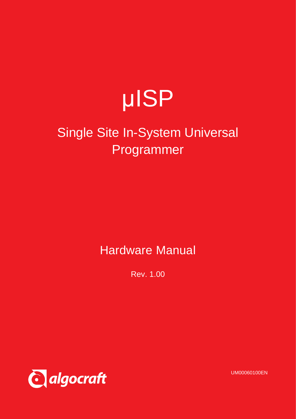

# Single Site In-System Universal Programmer

Hardware Manual

Rev. 1.00



UM00060100EN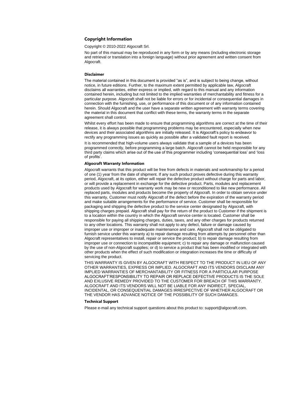#### **Copyright Information**

Copyright © 2010-2022 Algocraft Srl.

No part of this manual may be reproduced in any form or by any means (including electronic storage and retrieval or translation into a foreign language) without prior agreement and written consent from Algocraft.

#### **Disclaimer**

The material contained in this document is provided "as is", and is subject to being change, without notice, in future editions. Further, to the maximum extent permitted by applicable law, Algocraft disclaims all warranties, either express or implied, with regard to this manual and any information contained herein, including but not limited to the implied warranties of merchantability and fitness for a particular purpose. Algocraft shall not be liable for errors or for incidental or consequential damages in connection with the furnishing, use, or performance of this document or of any information contained herein. Should Algocraft and the user have a separate written agreement with warranty terms covering the material in this document that conflict with these terms, the warranty terms in the separate agreement shall control.

Whilst every effort has been made to ensure that programming algorithms are correct at the time of their release, it is always possible that programming problems may be encountered, especially when new devices and their associated algorithms are initially released. It is Algocraft's policy to endeavor to rectify any programming issues as quickly as possible after a validated fault report is received.

It is recommended that high-volume users always validate that a sample of a devices has been programmed correctly, before programming a large batch. Algocraft cannot be held responsible for any third party claims which arise out of the use of this programmer including 'consequential loss' and 'loss of profits'.

#### **Algocraft Warranty Information**

Algocraft warrants that this product will be free from defects in materials and workmanship for a period of one (1) year from the date of shipment. If any such product proves defective during this warranty period, Algocraft, at its option, either will repair the defective product without charge for parts and labor, or will provide a replacement in exchange for the defective product. Parts, modules and replacement products used by Algocraft for warranty work may be new or reconditioned to like new performance. All replaced parts, modules and products become the property of Algocraft. In order to obtain service under this warranty, Customer must notify Algocraft of the defect before the expiration of the warranty period and make suitable arrangements for the performance of service. Customer shall be responsible for packaging and shipping the defective product to the service center designated by Algocraft, with shipping charges prepaid. Algocraft shall pay for the return of the product to Customer if the shipment is to a location within the country in which the Algocraft service center is located. Customer shall be responsible for paying all shipping charges, duties, taxes, and any other charges for products returned to any other locations. This warranty shall not apply to any defect, failure or damage caused by improper use or improper or inadequate maintenance and care. Algocraft shall not be obligated to furnish service under this warranty a) to repair damage resulting from attempts by personnel other than Algocraft representatives to install, repair or service the product; b) to repair damage resulting from improper use or connection to incompatible equipment; c) to repair any damage or malfunction caused by the use of non-Algocraft supplies; or d) to service a product that has been modified or integrated with other products when the effect of such modification or integration increases the time or difficulty of servicing the product.

THIS WARRANTY IS GIVEN BY ALGOCRAFT WITH RESPECT TO THE PRODUCT IN LIEU OF ANY OTHER WARRANTIES, EXPRESS OR IMPLIED. ALGOCRAFT AND ITS VENDORS DISCLAIM ANY IMPLIED WARRANTIES OF MERCHANTABILITY OR FITNESS FOR A PARTICULAR PURPOSE ALGOCRAFT'RESPONSIBILITY TO REPAIR OR REPLACE DEFECTIVE PRODUCTS IS THE SOLE AND EXLUSIVE REMEDY PROVIDED TO THE CUSTOMER FOR BREACH OF THIS WARRANTY. ALGOCRAFT AND ITS VENDORS WILL NOT BE LIABLE FOR ANY INDIRECT, SPECIAL, INCIDENTAL, OR CONSEQUENTIAL DAMAGES IRRESPECTIVE OF WHETHER ALGOCRAFT OR THE VENDOR HAS ADVANCE NOTICE OF THE POSSIBILITY OF SUCH DAMAGES.

#### **Technical Support**

Please e-mail any technical support questions about this product to: support@algocraft.com.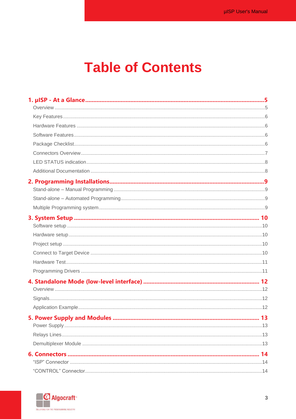# **Table of Contents**

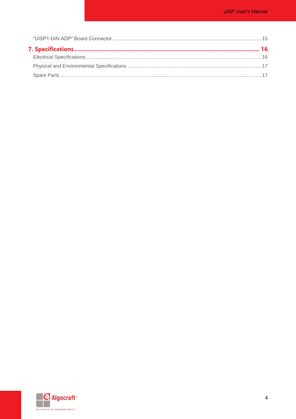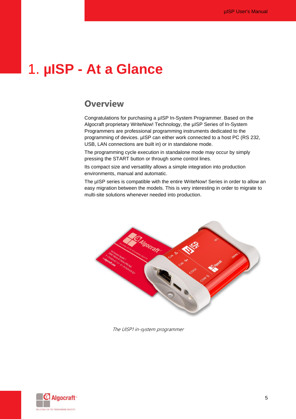# <span id="page-4-1"></span><span id="page-4-0"></span>1. **µISP - At a Glance**

#### **Overview**

Congratulations for purchasing a µISP In-System Programmer. Based on the Algocraft proprietary WriteNow! Technology, the µISP Series of In-System Programmers are professional programming instruments dedicated to the programming of devices. µISP can either work connected to a host PC (RS 232, USB, LAN connections are built in) or in standalone mode.

The programming cycle execution in standalone mode may occur by simply pressing the START button or through some control lines.

Its compact size and versatility allows a simple integration into production environments, manual and automatic.

The µISP series is compatible with the entire WriteNow! Series in order to allow an easy migration between the models. This is very interesting in order to migrate to multi-site solutions whenever needed into production.



The UISP1 in-system programmer

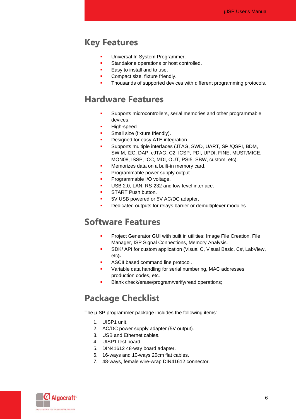#### <span id="page-5-0"></span>**Key Features**

- **■** Universal In System Programmer.
- **EXECUTE:** Standalone operations or host controlled.
- Easy to install and to use.
- **•** Compact size, fixture friendly.
- Thousands of supported devices with different programming protocols.

#### <span id="page-5-1"></span>**Hardware Features**

- **EXECUTE:** Supports microcontrollers, serial memories and other programmable devices.
- **■** High-speed.
- **•** Small size (fixture friendly).
- Designed for easy ATE integration.
- **·** Supports multiple interfaces (JTAG, SWD, UART, SPI/QSPI, BDM, SWIM, I2C, DAP, cJTAG, C2, ICSP, PDI, UPDI, FINE, MUST/MICE, MON08, ISSP, ICC, MDI, OUT, PSI5, SBW, custom, etc).
- **■** Memorizes data on a built-in memory card.
- **•** Programmable power supply output.
- **•** Programmable I/O voltage.
- **USB 2.0, LAN, RS-232 and low-level interface.**
- **■** START Push button.
- 5V USB powered or 5V AC/DC adapter.
- Dedicated outputs for relays barrier or demultiplexer modules.

#### <span id="page-5-2"></span>**Software Features**

- **•** Project Generator GUI with built in utilities: Image File Creation, File Manager, ISP Signal Connections, Memory Analysis.
- SDK/ API for custom application (Visual C, Visual Basic, C#, LabView, etc**).**
- **ASCII based command line protocol.**
- Variable data handling for serial numbering, MAC addresses, production codes, etc.
- Blank check/erase/program/verify/read operations;

#### <span id="page-5-3"></span>**Package Checklist**

The µISP programmer package includes the following items:

- 1. UISP1 unit.
- 2. AC/DC power supply adapter (5V output).
- 3. USB and Ethernet cables.
- 4. UISP1 test board.
- 5. DIN41612 48-way board adapter.
- 6. 16-ways and 10-ways 20cm flat cables.
- 7. 48-ways, female wire-wrap DIN41612 connector.

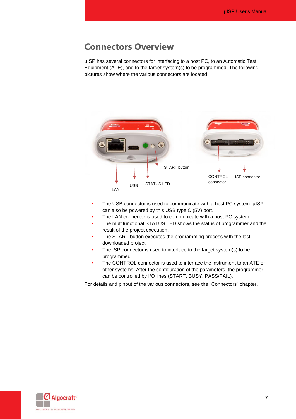#### <span id="page-6-0"></span>**Connectors Overview**

µISP has several connectors for interfacing to a host PC, to an Automatic Test Equipment (ATE), and to the target system(s) to be programmed. The following pictures show where the various connectors are located.



- The USB connector is used to communicate with a host PC system. µISP can also be powered by this USB type C (5V) port.
- **·** The LAN connector is used to communicate with a host PC system.
- The multifunctional STATUS LED shows the status of programmer and the result of the project execution.
- The START button executes the programming process with the last downloaded project.
- The ISP connector is used to interface to the target system(s) to be programmed.
- **•** The CONTROL connector is used to interface the instrument to an ATE or other systems. After the configuration of the parameters, the programmer can be controlled by I/O lines (START, BUSY, PASS/FAIL).

For details and pinout of the various connectors, see the "Connectors" chapter.

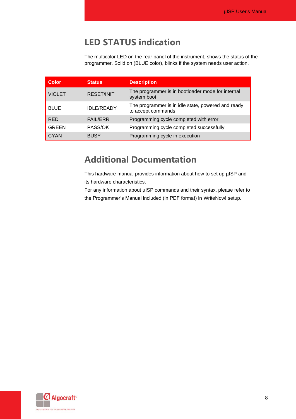### **LED STATUS indication**

The multicolor LED on the rear panel of the instrument, shows the status of the programmer. Solid on (BLUE color), blinks if the system needs user action.

<span id="page-7-0"></span>

| <b>Color</b>  | <b>Status</b>     | <b>Description</b>                                                       |
|---------------|-------------------|--------------------------------------------------------------------------|
| <b>VIOLET</b> | <b>RESET/INIT</b> | The programmer is in bootloader mode for internal<br>system boot         |
| <b>BLUE</b>   | <b>IDLE/READY</b> | The programmer is in idle state, powered and ready<br>to accept commands |
| <b>RED</b>    | <b>FAIL/ERR</b>   | Programming cycle completed with error                                   |
| <b>GREEN</b>  | PASS/OK           | Programming cycle completed successfully                                 |
| <b>CYAN</b>   | <b>BUSY</b>       | Programming cycle in execution                                           |

### <span id="page-7-1"></span>**Additional Documentation**

This hardware manual provides information about how to set up µISP and its hardware characteristics.

For any information about µISP commands and their syntax, please refer to the Programmer's Manual included (in PDF format) in WriteNow! setup.

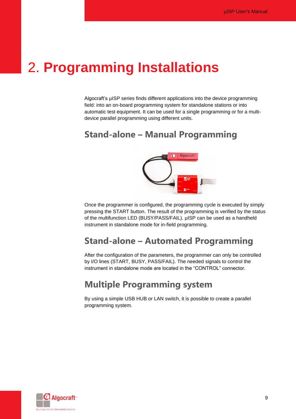## <span id="page-8-0"></span>2. **Programming Installations**

Algocraft's µISP series finds different applications into the device programming field: into an on-board programming system for standalone stations or into automatic test equipment. It can be used for a single programming or for a multidevice parallel programming using different units.

### <span id="page-8-1"></span>**Stand-alone – Manual Programming**



Once the programmer is configured, the programming cycle is executed by simply pressing the START button. The result of the programming is verified by the status of the multifunction LED (BUSY/PASS/FAIL). µISP can be used as a handheld instrument in standalone mode for in-field programming.

### <span id="page-8-2"></span>**Stand-alone – Automated Programming**

After the configuration of the parameters, the programmer can only be controlled by I/O lines (START, BUSY, PASS/FAIL). The needed signals to control the instrument in standalone mode are located in the "CONTROL" connector.

### <span id="page-8-3"></span>**Multiple Programming system**

By using a simple USB HUB or LAN switch, it is possible to create a parallel programming system.

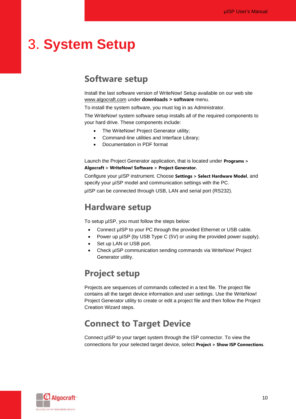# <span id="page-9-1"></span><span id="page-9-0"></span>3. **System Setup**

#### **Software setup**

Install the last software version of WriteNow! Setup available on our web site [www.algocraft.com](http://www.algocraft.com/) under **downloads > software** menu.

To install the system software, you must log in as Administrator.

The WriteNow! system software setup installs all of the required components to your hard drive. These components include:

- The WriteNow! Project Generator utility;
- Command-line utilities and Interface Library;
- Documentation in PDF format

Launch the Project Generator application, that is located under **Programs > Algocraft > WriteNow! Software > Project Generator.**

Configure your µISP instrument. Choose **Settings > Select Hardware Model**, and specify your µISP model and communication settings with the PC. µISP can be connected through USB, LAN and serial port (RS232).

#### <span id="page-9-2"></span>**Hardware setup**

To setup µISP, you must follow the steps below:

- Connect µISP to your PC through the provided Ethernet or USB cable.
- Power up µISP (by USB Type C (5V) or using the provided power supply).
- Set up LAN or USB port.
- Check µISP communication sending commands via WriteNow! Project Generator utility.

#### <span id="page-9-3"></span>**Project setup**

Projects are sequences of commands collected in a text file. The project file contains all the target device information and user settings. Use the WriteNow! Project Generator utility to create or edit a project file and then follow the Project Creation Wizard steps.

### <span id="page-9-4"></span>**Connect to Target Device**

Connect µISP to your target system through the ISP connector. To view the connections for your selected target device, select **Project > Show ISP Connections**.

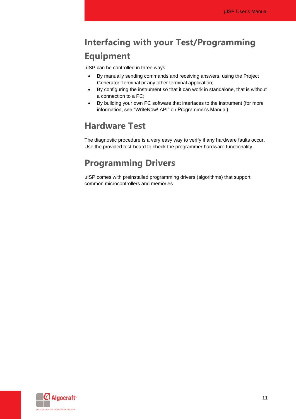## **Interfacing with your Test/Programming Equipment**

µISP can be controlled in three ways:

- By manually sending commands and receiving answers, using the Project Generator Terminal or any other terminal application;
- By configuring the instrument so that it can work in standalone, that is without a connection to a PC;
- By building your own PC software that interfaces to the instrument (for more information, see "WriteNow! API" on Programmer's Manual).

#### <span id="page-10-0"></span>**Hardware Test**

The diagnostic procedure is a very easy way to verify if any hardware faults occur. Use the provided test-board to check the programmer hardware functionality.

## <span id="page-10-1"></span>**Programming Drivers**

µISP comes with preinstalled programming drivers (algorithms) that support common microcontrollers and memories.

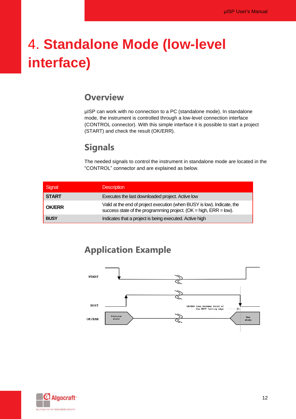# <span id="page-11-1"></span><span id="page-11-0"></span>4. **Standalone Mode (low-level interface)**

### **Overview**

µISP can work with no connection to a PC (standalone mode). In standalone mode, the instrument is controlled through a low-level connection interface (CONTROL connector). With this simple interface it is possible to start a project (START) and check the result (OK/ERR).

### **Signals**

The needed signals to control the instrument in standalone mode are located in the "CONTROL" connector and are explained as below.

<span id="page-11-2"></span>

| Signal        | <b>Description</b>                                                                                                                              |
|---------------|-------------------------------------------------------------------------------------------------------------------------------------------------|
| <b>START</b>  | Executes the last downloaded project. Active low                                                                                                |
| <b>OK/ERR</b> | Valid at the end of project execution (when BUSY is low). Indicate, the<br>success state of the programming project. (OK = high, $ERR = low$ ). |
| <b>BUSY</b>   | Indicates that a project is being executed. Active high                                                                                         |

### **Application Example**

<span id="page-11-3"></span>

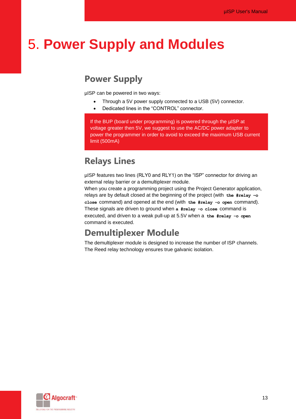# <span id="page-12-1"></span><span id="page-12-0"></span>5. **Power Supply and Modules**

### **Power Supply**

µISP can be powered in two ways:

- Through a 5V power supply connected to a USB (5V) connector.
- Dedicated lines in the "CONTROL" connector.

If the BUP (board under programming) is powered through the uISP at voltage greater then 5V, we suggest to use the AC/DC power adapter to power the programmer in order to avoid to exceed the maximum USB current limit (500mA)

### <span id="page-12-2"></span>**Relays Lines**

µISP features two lines (RLY0 and RLY1) on the "ISP" connector for driving an external relay barrier or a demultiplexer module.

When you create a programming project using the Project Generator application, relays are by default closed at the beginning of the project (with **the #relay –o close** command) and opened at the end (with **the #relay -o open** command). These signals are driven to ground when **a #relay -o close** command is executed, and driven to a weak pull-up at 5.5V when a **the #relay -o open**  command is executed.

### <span id="page-12-3"></span>**Demultiplexer Module**

The demultiplexer module is designed to increase the number of ISP channels. The Reed relay technology ensures true galvanic isolation.

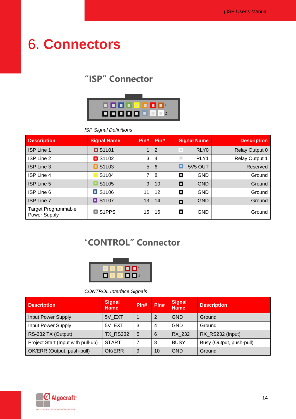# <span id="page-13-1"></span><span id="page-13-0"></span>6. **Connectors**

## **"ISP" Connector**



*ISP Signal Definitions*

| <b>Description</b>                         | <b>Signal Name</b>                  | Pin# | Pin#           |                | <b>Signal Name</b>  | <b>Description</b>    |
|--------------------------------------------|-------------------------------------|------|----------------|----------------|---------------------|-----------------------|
| <b>ISP Line 1</b>                          | $\square$ S1L01                     |      | 2              | $\mathbb{R}^n$ | RLY <sub>0</sub>    | Relay Output 0        |
| ISP Line 2                                 | $\Box$ S1L02                        | 3    | $\overline{4}$ | $\blacksquare$ | RLY1                | <b>Relay Output 1</b> |
| <b>ISP Line 3</b>                          | $\blacksquare$ S1L03                | 5    | 6              | о              | 5V <sub>5</sub> OUT | Reserved              |
| <b>ISP Line 4</b>                          | S1L04<br>$\Box$                     | 7    | 8              | о              | <b>GND</b>          | Ground                |
| <b>ISP Line 5</b>                          | S <sub>1</sub> L <sub>05</sub><br>о | 9    | 10             | О              | <b>GND</b>          | Ground                |
| ISP Line 6                                 | $\blacksquare$ S1L06                | 11   | 12             | О              | <b>GND</b>          | Ground                |
| <b>ISP Line 7</b>                          | $\Box$ S1L07                        | 13   | 14             | 0              | <b>GND</b>          | Ground                |
| <b>Target Programmable</b><br>Power Supply | $\Box$ S1PPS                        | 15   | 16             | о              | <b>GND</b>          | Ground                |

## <span id="page-13-2"></span>"**CONTROL" Connector**



#### *CONTROL Interface Signals*

| <b>Description</b>                 | <b>Signal</b><br><b>Name</b> | Pin# | Pin# | <b>Signal</b><br><b>Name</b> | <b>Description</b>       |
|------------------------------------|------------------------------|------|------|------------------------------|--------------------------|
| <b>Input Power Supply</b>          | 5V EXT                       |      | 2    | <b>GND</b>                   | Ground                   |
| <b>Input Power Supply</b>          | 5V EXT                       | 3    | 4    | <b>GND</b>                   | Ground                   |
| RS-232 TX (Output)                 | <b>TX RS232</b>              | 5    | 6    | RX 232                       | RX_RS232 (Input)         |
| Project Start (Input with pull-up) | <b>START</b>                 | 7    | 8    | <b>BUSY</b>                  | Busy (Output, push-pull) |
| OK/ERR (Output, push-pull)         | OK/ERR                       | 9    | 10   | <b>GND</b>                   | Ground                   |

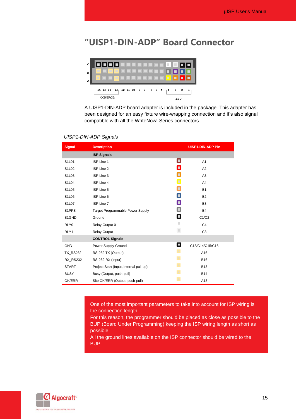#### <span id="page-14-0"></span>**"UISP1-DIN-ADP" Board Connector**



A UISP1-DIN-ADP board adapter is included in the package. This adapter has been designed for an easy fixture wire-wrapping connection and it's also signal compatible with all the WriteNow! Series connectors.

#### *UISP1-DIN-ADP Signals*

| <b>Signal</b>      | <b>Description</b>                      |                | <b>UISP1-DIN-ADP Pin</b> |
|--------------------|-----------------------------------------|----------------|--------------------------|
|                    | <b>ISP Signals</b>                      |                |                          |
| S1L01              | ISP Line 1                              | П              | A <sub>1</sub>           |
| S1L02              | ISP Line 2                              | о              | A2                       |
| S1L03              | ISP Line 3                              | ٠              | A <sub>3</sub>           |
| S1L04              | ISP Line 4                              | $\blacksquare$ | A <sub>4</sub>           |
| S1L05              | ISP Line 5                              | п              | <b>B1</b>                |
| S1L06              | ISP Line 6                              | o              | B <sub>2</sub>           |
| S1L07              | ISP Line 7                              | п              | B <sub>3</sub>           |
| S <sub>1</sub> PPS | <b>Target Programmable Power Supply</b> | о              | <b>B4</b>                |
| S1GND              | Ground                                  | П              | C1/C2                    |
| RLY0               | Relay Output 0                          | ш              | C <sub>4</sub>           |
| RLY1               | Relay Output 1                          | $\blacksquare$ | C <sub>3</sub>           |
|                    | <b>CONTROL Signals</b>                  |                |                          |
| <b>GND</b>         | Power Supply Ground                     | П              | C13/C14/C15/C16          |
| <b>TX_RS232</b>    | RS-232 TX (Output)                      | <b>D</b>       | A16                      |
| <b>RX RS232</b>    | RS-232 RX (Input)                       | D.             | <b>B16</b>               |
| <b>START</b>       | Project Start (Input, internal pull-up) | $\Box$         | <b>B13</b>               |
| <b>BUSY</b>        | Busy (Output, push-pull)                | D              | <b>B14</b>               |
| OK/ERR             | Site OK/ERR (Output, push-pull)         | $\mathbb{R}^3$ | A13                      |

One of the most important parameters to take into account for ISP wiring is the connection length.

For this reason, the programmer should be placed as close as possible to the BUP (Board Under Programming) keeping the ISP wiring length as short as possible.

All the ground lines available on the ISP connector should be wired to the BUP.

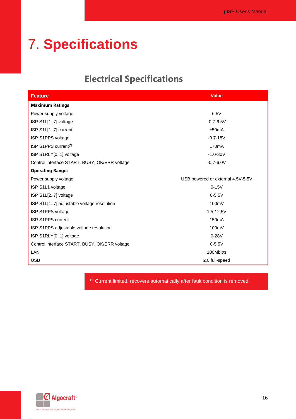# <span id="page-15-0"></span>7. **Specifications**

## **Electrical Specifications**

<span id="page-15-1"></span>

| <b>Feature</b>                                | <b>Value</b>                      |
|-----------------------------------------------|-----------------------------------|
| <b>Maximum Ratings</b>                        |                                   |
| Power supply voltage                          | 6.5V                              |
| ISP S1L[17] voltage                           | $-0.7 - 6.5V$                     |
| ISP S1L[17] current                           | ±50mA                             |
| ISP S1PPS voltage                             | $-0.7 - 18V$                      |
| ISP S1PPS current <sup>(*)</sup>              | 170 <sub>m</sub> A                |
| ISP S1RLY[01] voltage                         | $-1.0 - 30V$                      |
| Control interface START, BUSY, OK/ERR voltage | $-0.7 - 6.0V$                     |
| <b>Operating Ranges</b>                       |                                   |
| Power supply voltage                          | USB powered or external 4.5V-5.5V |
| ISP S1L1 voltage                              | $0-15V$                           |
| ISP S1L[27] voltage                           | $0 - 5.5V$                        |
| ISP S1L[17] adjustable voltage resolution     | 100mV                             |
| ISP S1PPS voltage                             | $1.5 - 12.5V$                     |
| <b>ISP S1PPS current</b>                      | 150 <sub>m</sub> A                |
| ISP S1PPS adjustable voltage resolution       | 100mV                             |
| ISP S1RLY[01] voltage                         | $0 - 28V$                         |
| Control interface START, BUSY, OK/ERR voltage | $0 - 5.5V$                        |
| LAN                                           | 100Mbit/s                         |
| <b>USB</b>                                    | 2.0 full-speed                    |

(\*) Current limited, recovers automatically after fault condition is removed.